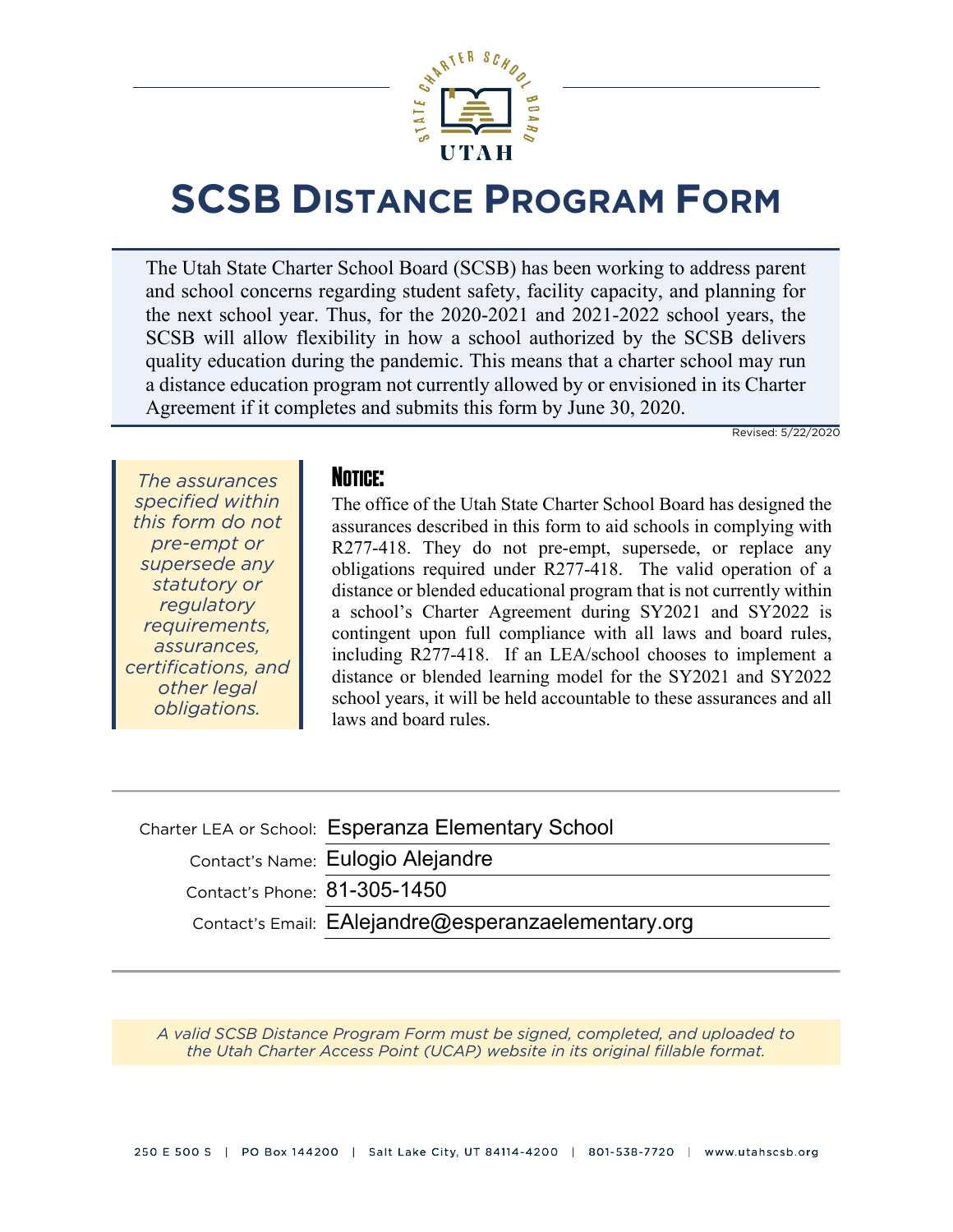

# **SCSB DISTANCE PROGRAM FORM**

The Utah State Charter School Board (SCSB) has been working to address parent and school concerns regarding student safety, facility capacity, and planning for the next school year. Thus, for the 2020-2021 and 2021-2022 school years, the SCSB will allow flexibility in how a school authorized by the SCSB delivers quality education during the pandemic. This means that a charter school may run a distance education program not currently allowed by or envisioned in its Charter Agreement if it completes and submits this form by June 30, 2020.

Revised: 5/22/2020

*The assurances specified within this form do not pre-empt or supersede any statutory or regulatory requirements, assurances, certifications, and other legal obligations.*

#### **NOTICE:**

The office of the Utah State Charter School Board has designed the assurances described in this form to aid schools in complying with R277-418. They do not pre-empt, supersede, or replace any obligations required under R277-418. The valid operation of a distance or blended educational program that is not currently within a school's Charter Agreement during SY2021 and SY2022 is contingent upon full compliance with all laws and board rules, including R277-418. If an LEA/school chooses to implement a distance or blended learning model for the SY2021 and SY2022 school years, it will be held accountable to these assurances and all laws and board rules.

|                              | Charter LEA or School: Esperanza Elementary School  |
|------------------------------|-----------------------------------------------------|
|                              | Contact's Name: Eulogio Alejandre                   |
| Contact's Phone: 81-305-1450 |                                                     |
|                              | Contact's Email: EAlejandre@esperanzaelementary.org |
|                              |                                                     |

*[A valid SCSB Distance Program Form must be signed, completed, and uploaded to](https://ucap.schools.utah.gov/)  the Utah Charter Access Point (UCAP) website in its original fillable format.*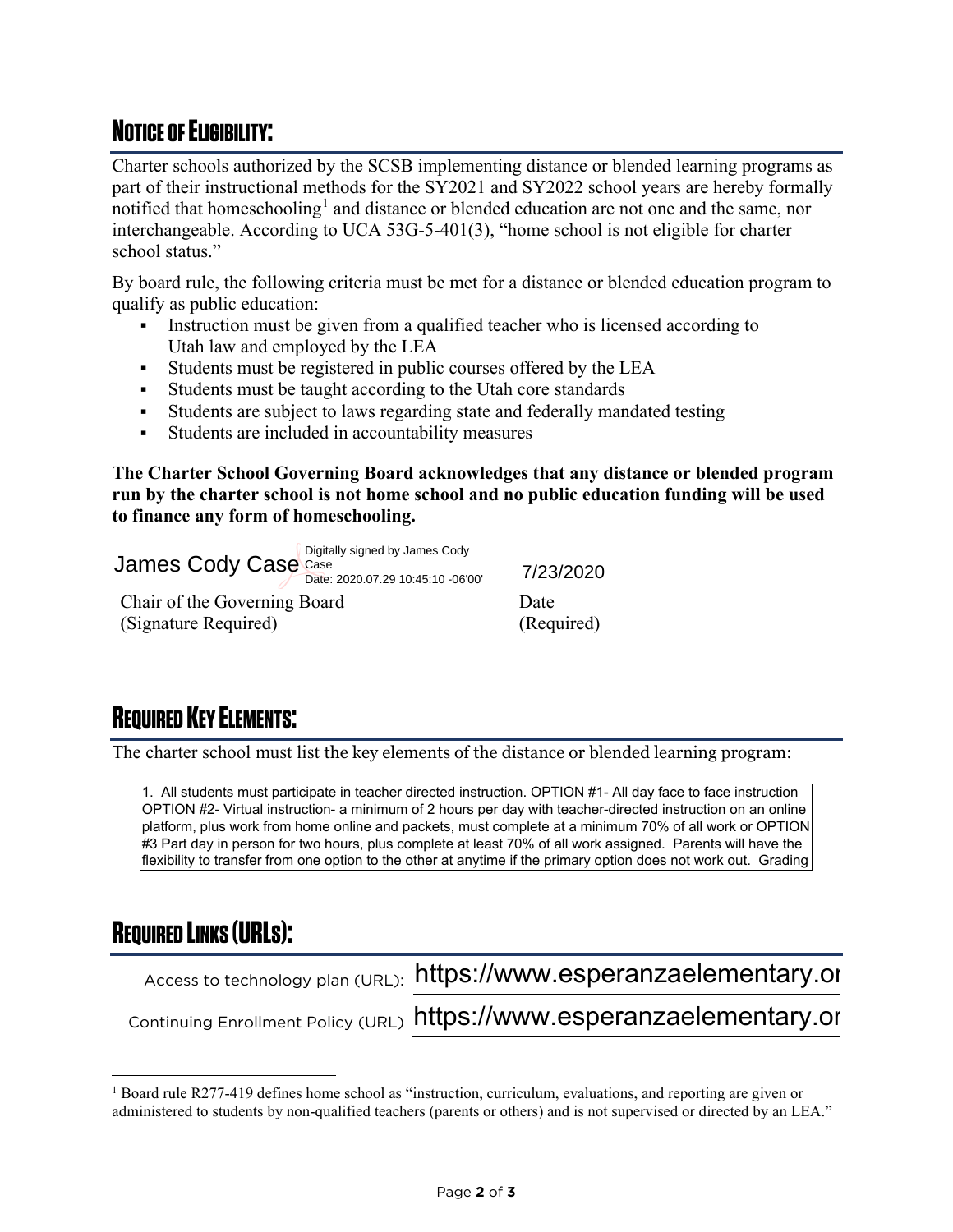## **NOTICE OF ELIGIBILITY:**

Charter schools authorized by the SCSB implementing distance or blended learning programs as part of their instructional methods for the SY2021 and SY2022 school years are hereby formally notified that homeschooling<sup>[1](#page-1-0)</sup> and distance or blended education are not one and the same, nor interchangeable. According to UCA 53G-5-401(3), "home school is not eligible for charter school status."

By board rule, the following criteria must be met for a distance or blended education program to qualify as public education:

- Instruction must be given from a qualified teacher who is licensed according to Utah law and employed by the LEA
- Students must be registered in public courses offered by the LEA
- Students must be taught according to the Utah core standards
- Students are subject to laws regarding state and federally mandated testing
- Students are included in accountability measures

**The Charter School Governing Board acknowledges that any distance or blended program run by the charter school is not home school and no public education funding will be used to finance any form of homeschooling.** 

Chair of the Governing Board (Signature Required) Date (Required) 7/23/2020 James Cody Case Case Date: 2020.07.29 10:45:10 -06'00'

#### **REQUIRED KEY ELEMENTS:**

The charter school must list the key elements of the distance or blended learning program:

1. All students must participate in teacher directed instruction. OPTION #1- All day face to face instruction OPTION #2- Virtual instruction- a minimum of 2 hours per day with teacher-directed instruction on an online platform, plus work from home online and packets, must complete at a minimum 70% of all work or OPTION #3 Part day in person for two hours, plus complete at least 70% of all work assigned. Parents will have the flexibility to transfer from one option to the other at anytime if the primary option does not work out. Grading James Cody Case  $\frac{1}{\text{Case 200.07.29 10.45:10-6000}}$ <br>
Chair of the Governing Brand<br>
(Signature Required)<br>
Thate<br>
(Signature Required)<br>
The charter school must list the key elements of the distance or blended learning prog

### **REQUIRED LINKS (URLS):**

Access to technology plan (URL): https://www.esperanzaelementary.org

Continuing Enrollment Policy (URL) https://www.esperanzaelementary.or

<span id="page-1-0"></span><sup>1</sup> Board rule R277-419 defines home school as "instruction, curriculum, evaluations, and reporting are given or administered to students by non-qualified teachers (parents or others) and is not supervised or directed by an LEA."